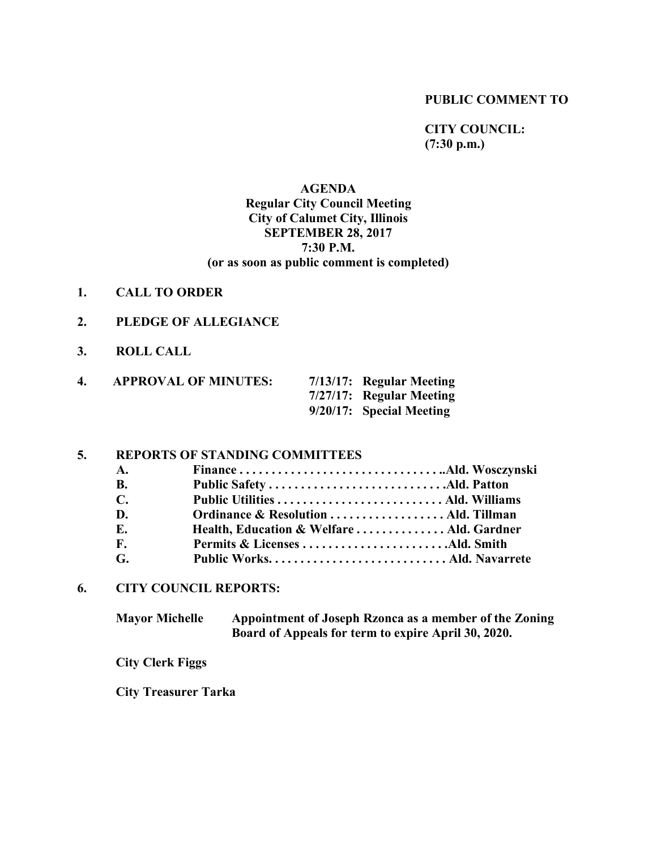#### **PUBLIC COMMENT TO**

**CITY COUNCIL: (7:30 p.m.)**

# **AGENDA Regular City Council Meeting City of Calumet City, Illinois SEPTEMBER 28, 2017 7:30 P.M. (or as soon as public comment is completed)**

- **1. CALL TO ORDER**
- **2. PLEDGE OF ALLEGIANCE**
- **3. ROLL CALL**

| 4. | <b>APPROVAL OF MINUTES:</b> | $7/13/17$ : Regular Meeting |
|----|-----------------------------|-----------------------------|
|    |                             | $7/27/17$ : Regular Meeting |
|    |                             | $9/20/17$ : Special Meeting |

# **5. REPORTS OF STANDING COMMITTEES**

| A.          |                                           |  |
|-------------|-------------------------------------------|--|
| В.          |                                           |  |
| $\mathbf C$ |                                           |  |
| D.          |                                           |  |
| Е.          | Health, Education & Welfare  Ald. Gardner |  |
| F.          |                                           |  |
| G.          |                                           |  |

### **6. CITY COUNCIL REPORTS:**

**Mayor Michelle Appointment of Joseph Rzonca as a member of the Zoning Board of Appeals for term to expire April 30, 2020.**

**City Clerk Figgs**

**City Treasurer Tarka**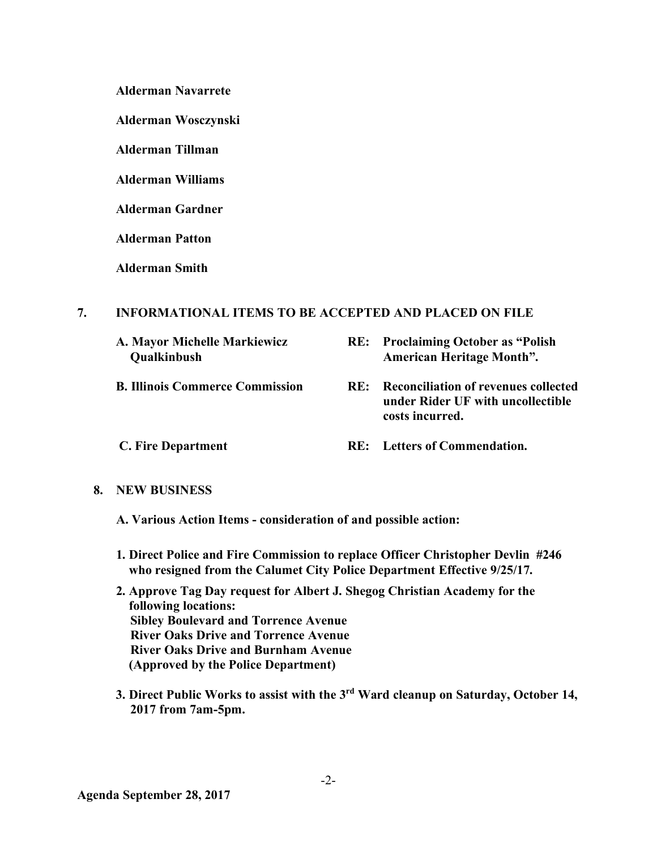**Alderman Navarrete**

**Alderman Wosczynski**

**Alderman Tillman**

**Alderman Williams**

**Alderman Gardner**

**Alderman Patton**

**Alderman Smith**

# **7. INFORMATIONAL ITEMS TO BE ACCEPTED AND PLACED ON FILE**

- 
- 
- 
- **A. Mayor Michelle Markiewicz RE: Proclaiming October as "Polish Qualkinbush American Heritage Month".**
- **B. Illinois Commerce Commission RE: Reconciliation of revenues collected under Rider UF with uncollectible costs incurred.**
- **C. Fire Department RE: Letters of Commendation.**

# **8. NEW BUSINESS**

 **A. Various Action Items - consideration of and possible action:**

- **1. Direct Police and Fire Commission to replace Officer Christopher Devlin #246 who resigned from the Calumet City Police Department Effective 9/25/17.**
- **2. Approve Tag Day request for Albert J. Shegog Christian Academy for the following locations: Sibley Boulevard and Torrence Avenue River Oaks Drive and Torrence Avenue River Oaks Drive and Burnham Avenue (Approved by the Police Department)**
- **3. Direct Public Works to assist with the 3rd Ward cleanup on Saturday, October 14, 2017 from 7am-5pm.**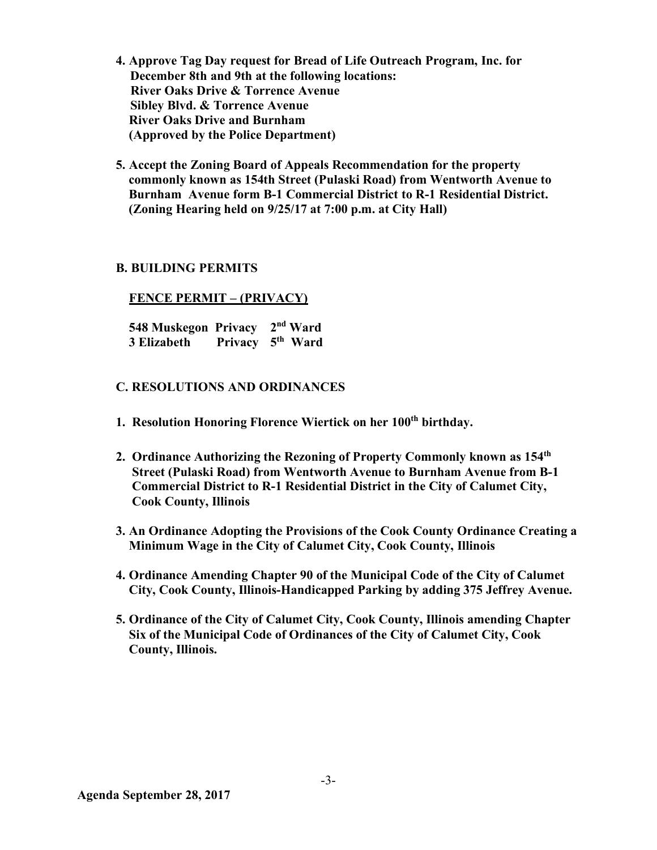- **4. Approve Tag Day request for Bread of Life Outreach Program, Inc. for December 8th and 9th at the following locations: River Oaks Drive & Torrence Avenue Sibley Blvd. & Torrence Avenue River Oaks Drive and Burnham (Approved by the Police Department)**
- **5. Accept the Zoning Board of Appeals Recommendation for the property commonly known as 154th Street (Pulaski Road) from Wentworth Avenue to Burnham Avenue form B-1 Commercial District to R-1 Residential District. (Zoning Hearing held on 9/25/17 at 7:00 p.m. at City Hall)**

### **B. BUILDING PERMITS**

#### **FENCE PERMIT – (PRIVACY)**

 **548 Muskegon Privacy 2nd Ward 3 Elizabeth Privacy 5th Ward**

#### **C. RESOLUTIONS AND ORDINANCES**

- **1. Resolution Honoring Florence Wiertick on her 100th birthday.**
- **2. Ordinance Authorizing the Rezoning of Property Commonly known as 154th Street (Pulaski Road) from Wentworth Avenue to Burnham Avenue from B-1 Commercial District to R-1 Residential District in the City of Calumet City, Cook County, Illinois**
- **3. An Ordinance Adopting the Provisions of the Cook County Ordinance Creating a Minimum Wage in the City of Calumet City, Cook County, Illinois**
- **4. Ordinance Amending Chapter 90 of the Municipal Code of the City of Calumet City, Cook County, Illinois-Handicapped Parking by adding 375 Jeffrey Avenue.**
- **5. Ordinance of the City of Calumet City, Cook County, Illinois amending Chapter Six of the Municipal Code of Ordinances of the City of Calumet City, Cook County, Illinois.**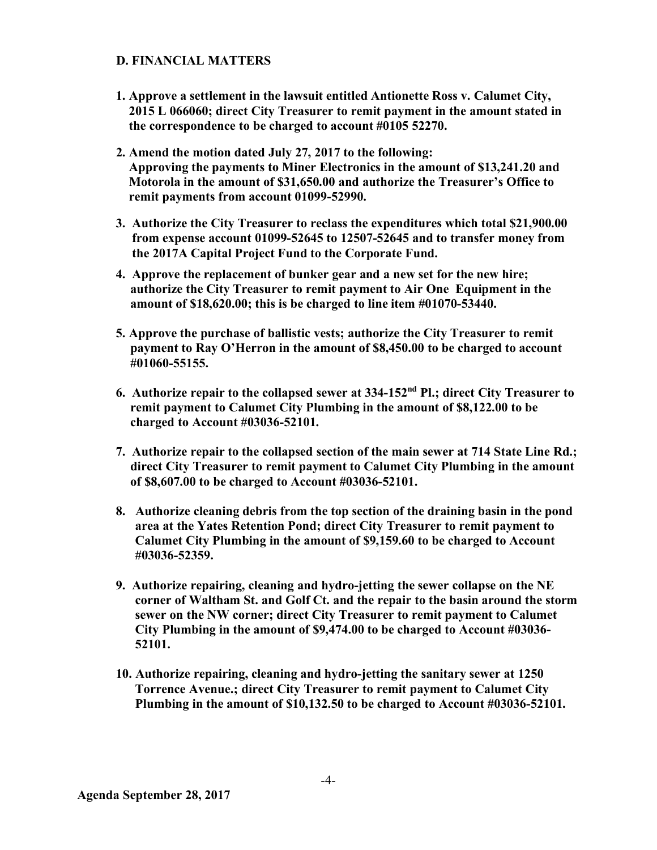# **D. FINANCIAL MATTERS**

- **1. Approve a settlement in the lawsuit entitled Antionette Ross v. Calumet City, 2015 L 066060; direct City Treasurer to remit payment in the amount stated in the correspondence to be charged to account #0105 52270.**
- **2. Amend the motion dated July 27, 2017 to the following: Approving the payments to Miner Electronics in the amount of \$13,241.20 and Motorola in the amount of \$31,650.00 and authorize the Treasurer's Office to remit payments from account 01099-52990.**
- **3. Authorize the City Treasurer to reclass the expenditures which total \$21,900.00 from expense account 01099-52645 to 12507-52645 and to transfer money from the 2017A Capital Project Fund to the Corporate Fund.**
- **4. Approve the replacement of bunker gear and a new set for the new hire; authorize the City Treasurer to remit payment to Air One Equipment in the amount of \$18,620.00; this is be charged to line item #01070-53440.**
- **5. Approve the purchase of ballistic vests; authorize the City Treasurer to remit payment to Ray O'Herron in the amount of \$8,450.00 to be charged to account #01060-55155.**
- **6. Authorize repair to the collapsed sewer at 334-152nd Pl.; direct City Treasurer to remit payment to Calumet City Plumbing in the amount of \$8,122.00 to be charged to Account #03036-52101.**
- **7. Authorize repair to the collapsed section of the main sewer at 714 State Line Rd.; direct City Treasurer to remit payment to Calumet City Plumbing in the amount of \$8,607.00 to be charged to Account #03036-52101.**
- **8. Authorize cleaning debris from the top section of the draining basin in the pond area at the Yates Retention Pond; direct City Treasurer to remit payment to Calumet City Plumbing in the amount of \$9,159.60 to be charged to Account #03036-52359.**
- **9. Authorize repairing, cleaning and hydro-jetting the sewer collapse on the NE corner of Waltham St. and Golf Ct. and the repair to the basin around the storm sewer on the NW corner; direct City Treasurer to remit payment to Calumet City Plumbing in the amount of \$9,474.00 to be charged to Account #03036- 52101.**
- **10. Authorize repairing, cleaning and hydro-jetting the sanitary sewer at 1250 Torrence Avenue.; direct City Treasurer to remit payment to Calumet City Plumbing in the amount of \$10,132.50 to be charged to Account #03036-52101.**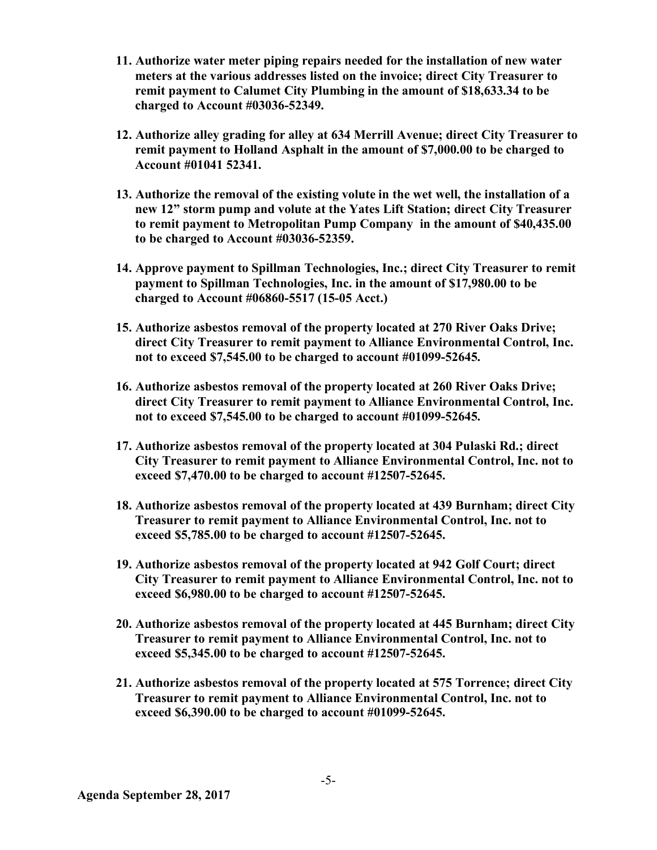- **11. Authorize water meter piping repairs needed for the installation of new water meters at the various addresses listed on the invoice; direct City Treasurer to remit payment to Calumet City Plumbing in the amount of \$18,633.34 to be charged to Account #03036-52349.**
- **12. Authorize alley grading for alley at 634 Merrill Avenue; direct City Treasurer to remit payment to Holland Asphalt in the amount of \$7,000.00 to be charged to Account #01041 52341.**
- **13. Authorize the removal of the existing volute in the wet well, the installation of a new 12" storm pump and volute at the Yates Lift Station; direct City Treasurer to remit payment to Metropolitan Pump Company in the amount of \$40,435.00 to be charged to Account #03036-52359.**
- **14. Approve payment to Spillman Technologies, Inc.; direct City Treasurer to remit payment to Spillman Technologies, Inc. in the amount of \$17,980.00 to be charged to Account #06860-5517 (15-05 Acct.)**
- **15. Authorize asbestos removal of the property located at 270 River Oaks Drive; direct City Treasurer to remit payment to Alliance Environmental Control, Inc. not to exceed \$7,545.00 to be charged to account #01099-52645.**
- **16. Authorize asbestos removal of the property located at 260 River Oaks Drive; direct City Treasurer to remit payment to Alliance Environmental Control, Inc. not to exceed \$7,545.00 to be charged to account #01099-52645.**
- **17. Authorize asbestos removal of the property located at 304 Pulaski Rd.; direct City Treasurer to remit payment to Alliance Environmental Control, Inc. not to exceed \$7,470.00 to be charged to account #12507-52645.**
- **18. Authorize asbestos removal of the property located at 439 Burnham; direct City Treasurer to remit payment to Alliance Environmental Control, Inc. not to exceed \$5,785.00 to be charged to account #12507-52645.**
- **19. Authorize asbestos removal of the property located at 942 Golf Court; direct City Treasurer to remit payment to Alliance Environmental Control, Inc. not to exceed \$6,980.00 to be charged to account #12507-52645.**
- **20. Authorize asbestos removal of the property located at 445 Burnham; direct City Treasurer to remit payment to Alliance Environmental Control, Inc. not to exceed \$5,345.00 to be charged to account #12507-52645.**
- **21. Authorize asbestos removal of the property located at 575 Torrence; direct City Treasurer to remit payment to Alliance Environmental Control, Inc. not to exceed \$6,390.00 to be charged to account #01099-52645.**